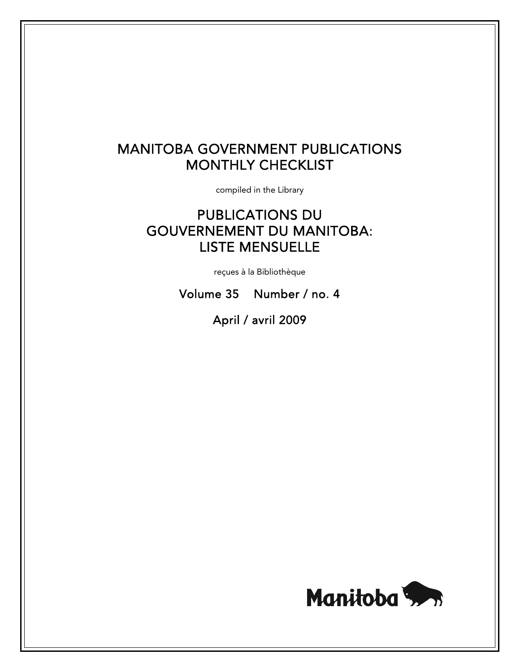# MANITOBA GOVERNMENT PUBLICATIONS MONTHLY CHECKLIST

compiled in the Library

# PUBLICATIONS DU GOUVERNEMENT DU MANITOBA: LISTE MENSUELLE

reçues à la Bibliothèque

Volume 35 Number / no. 4

April / avril 2009

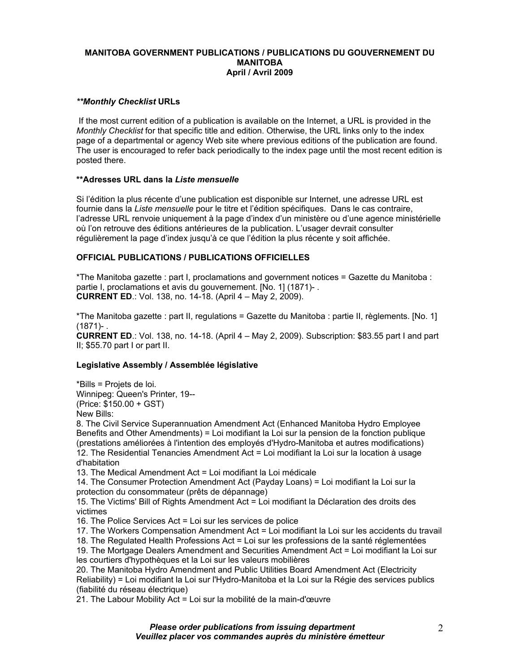## **MANITOBA GOVERNMENT PUBLICATIONS / PUBLICATIONS DU GOUVERNEMENT DU MANITOBA April / Avril 2009**

## *\*\*Monthly Checklist* **URLs**

 If the most current edition of a publication is available on the Internet, a URL is provided in the *Monthly Checklist* for that specific title and edition. Otherwise, the URL links only to the index page of a departmental or agency Web site where previous editions of the publication are found. The user is encouraged to refer back periodically to the index page until the most recent edition is posted there.

# **\*\*Adresses URL dans la** *Liste mensuelle*

Si l'édition la plus récente d'une publication est disponible sur Internet, une adresse URL est fournie dans la *Liste mensuelle* pour le titre et l'édition spécifiques. Dans le cas contraire, l'adresse URL renvoie uniquement à la page d'index d'un ministère ou d'une agence ministérielle où l'on retrouve des éditions antérieures de la publication. L'usager devrait consulter régulièrement la page d'index jusqu'à ce que l'édition la plus récente y soit affichée.

# **OFFICIAL PUBLICATIONS / PUBLICATIONS OFFICIELLES**

\*The Manitoba gazette : part I, proclamations and government notices = Gazette du Manitoba : partie I, proclamations et avis du gouvernement. [No. 1] (1871)- . **CURRENT ED**.: Vol. 138, no. 14-18. (April 4 – May 2, 2009).

\*The Manitoba gazette : part II, regulations = Gazette du Manitoba : partie II, règlements. [No. 1]  $(1871) -$ .

**CURRENT ED**.: Vol. 138, no. 14-18. (April 4 – May 2, 2009). Subscription: \$83.55 part I and part II; \$55.70 part I or part II.

# **Legislative Assembly / Assemblée législative**

\*Bills = Projets de loi. Winnipeg: Queen's Printer, 19-- (Price: \$150.00 + GST) New Bills:

8. The Civil Service Superannuation Amendment Act (Enhanced Manitoba Hydro Employee Benefits and Other Amendments) = Loi modifiant la Loi sur la pension de la fonction publique (prestations améliorées à l'intention des employés d'Hydro-Manitoba et autres modifications) 12. The Residential Tenancies Amendment Act = Loi modifiant la Loi sur la location à usage d'habitation

13. The Medical Amendment Act = Loi modifiant la Loi médicale

14. The Consumer Protection Amendment Act (Payday Loans) = Loi modifiant la Loi sur la protection du consommateur (prêts de dépannage)

15. The Victims' Bill of Rights Amendment Act = Loi modifiant la Déclaration des droits des victimes

16. The Police Services Act = Loi sur les services de police

17. The Workers Compensation Amendment Act = Loi modifiant la Loi sur les accidents du travail

18. The Regulated Health Professions Act = Loi sur les professions de la santé réglementées

19. The Mortgage Dealers Amendment and Securities Amendment Act = Loi modifiant la Loi sur les courtiers d'hypothèques et la Loi sur les valeurs mobilières

20. The Manitoba Hydro Amendment and Public Utilities Board Amendment Act (Electricity Reliability) = Loi modifiant la Loi sur l'Hydro-Manitoba et la Loi sur la Régie des services publics (fiabilité du réseau électrique)

21. The Labour Mobility Act = Loi sur la mobilité de la main-d'œuvre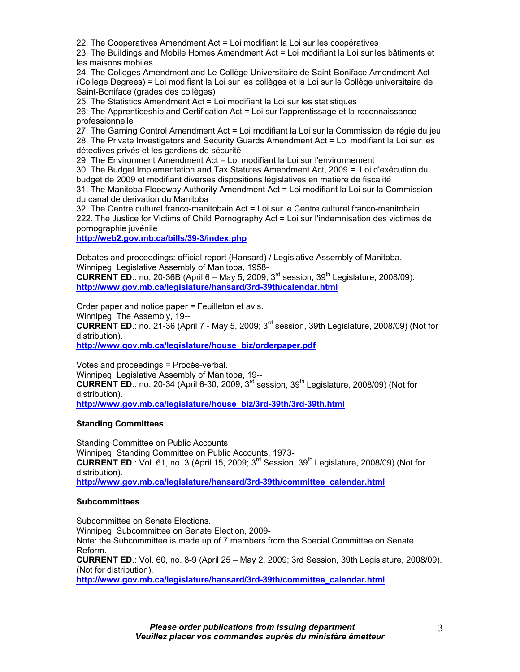22. The Cooperatives Amendment Act = Loi modifiant la Loi sur les coopératives

23. The Buildings and Mobile Homes Amendment Act = Loi modifiant la Loi sur les bâtiments et les maisons mobiles

24. The Colleges Amendment and Le Collège Universitaire de Saint-Boniface Amendment Act (College Degrees) = Loi modifiant la Loi sur les collèges et la Loi sur le Collège universitaire de Saint-Boniface (grades des collèges)

25. The Statistics Amendment Act = Loi modifiant la Loi sur les statistiques

26. The Apprenticeship and Certification Act = Loi sur l'apprentissage et la reconnaissance professionnelle

27. The Gaming Control Amendment Act = Loi modifiant la Loi sur la Commission de régie du jeu 28. The Private Investigators and Security Guards Amendment Act = Loi modifiant la Loi sur les détectives privés et les gardiens de sécurité

29. The Environment Amendment Act = Loi modifiant la Loi sur l'environnement

30. The Budget Implementation and Tax Statutes Amendment Act, 2009 = Loi d'exécution du budget de 2009 et modifiant diverses dispositions législatives en matière de fiscalité

31. The Manitoba Floodway Authority Amendment Act = Loi modifiant la Loi sur la Commission du canal de dérivation du Manitoba

32. The Centre culturel franco-manitobain Act = Loi sur le Centre culturel franco-manitobain. 222. The Justice for Victims of Child Pornography Act = Loi sur l'indemnisation des victimes de pornographie juvénile

**http://web2.gov.mb.ca/bills/39-3/index.php**

Debates and proceedings: official report (Hansard) / Legislative Assembly of Manitoba. Winnipeg: Legislative Assembly of Manitoba, 1958-

**CURRENT ED**.: no. 20-36B (April 6 – May 5, 2009;  $3^{rd}$  session,  $39^{th}$  Legislature, 2008/09). **http://www.gov.mb.ca/legislature/hansard/3rd-39th/calendar.html**

Order paper and notice paper = Feuilleton et avis.

Winnipeg: The Assembly, 19--

**CURRENT ED**.: no. 21-36 (April 7 - May 5, 2009;  $3^{rd}$  session, 39th Legislature, 2008/09) (Not for distribution).

**http://www.gov.mb.ca/legislature/house\_biz/orderpaper.pdf**

Votes and proceedings = Procès-verbal. Winnipeg: Legislative Assembly of Manitoba, 19-- **CURRENT ED**.: no. 20-34 (April 6-30, 2009;  $3^{rd}$  session,  $39^{th}$  Legislature, 2008/09) (Not for distribution). **http://www.gov.mb.ca/legislature/house\_biz/3rd-39th/3rd-39th.html**

## **Standing Committees**

Standing Committee on Public Accounts Winnipeg: Standing Committee on Public Accounts, 1973- **CURRENT ED.:** Vol. 61, no. 3 (April 15, 2009; 3<sup>rd</sup> Session, 39<sup>th</sup> Legislature, 2008/09) (Not for distribution). **http://www.gov.mb.ca/legislature/hansard/3rd-39th/committee\_calendar.html**

## **Subcommittees**

Subcommittee on Senate Elections. Winnipeg: Subcommittee on Senate Election, 2009- Note: the Subcommittee is made up of 7 members from the Special Committee on Senate Reform. **CURRENT ED**.: Vol. 60, no. 8-9 (April 25 – May 2, 2009; 3rd Session, 39th Legislature, 2008/09). (Not for distribution). **http://www.gov.mb.ca/legislature/hansard/3rd-39th/committee\_calendar.html**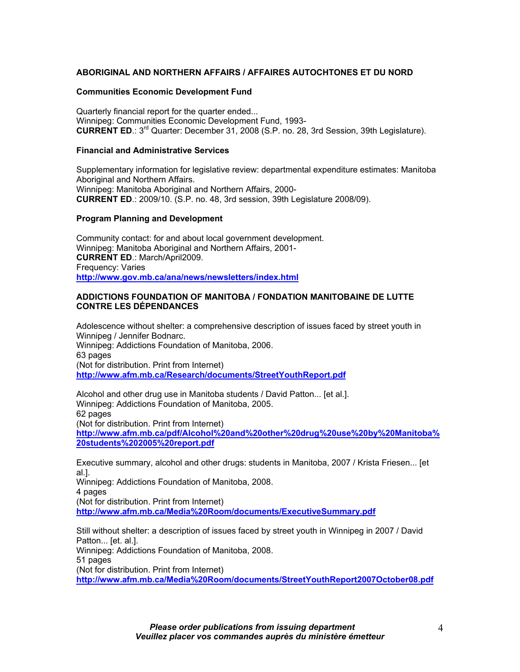# **ABORIGINAL AND NORTHERN AFFAIRS / AFFAIRES AUTOCHTONES ET DU NORD**

#### **Communities Economic Development Fund**

Quarterly financial report for the quarter ended... Winnipeg: Communities Economic Development Fund, 1993- **CURRENT ED**.: 3rd Quarter: December 31, 2008 (S.P. no. 28, 3rd Session, 39th Legislature).

#### **Financial and Administrative Services**

Supplementary information for legislative review: departmental expenditure estimates: Manitoba Aboriginal and Northern Affairs. Winnipeg: Manitoba Aboriginal and Northern Affairs, 2000- **CURRENT ED**.: 2009/10. (S.P. no. 48, 3rd session, 39th Legislature 2008/09).

#### **Program Planning and Development**

Community contact: for and about local government development. Winnipeg: Manitoba Aboriginal and Northern Affairs, 2001- **CURRENT ED**.: March/April2009. Frequency: Varies **http://www.gov.mb.ca/ana/news/newsletters/index.html**

# **ADDICTIONS FOUNDATION OF MANITOBA / FONDATION MANITOBAINE DE LUTTE CONTRE LES DÉPENDANCES**

Adolescence without shelter: a comprehensive description of issues faced by street youth in Winnipeg / Jennifer Bodnarc. Winnipeg: Addictions Foundation of Manitoba, 2006. 63 pages (Not for distribution. Print from Internet) **http://www.afm.mb.ca/Research/documents/StreetYouthReport.pdf**

Alcohol and other drug use in Manitoba students / David Patton... [et al.]. Winnipeg: Addictions Foundation of Manitoba, 2005. 62 pages (Not for distribution. Print from Internet) **http://www.afm.mb.ca/pdf/Alcohol%20and%20other%20drug%20use%20by%20Manitoba% 20students%202005%20report.pdf** 

Executive summary, alcohol and other drugs: students in Manitoba, 2007 / Krista Friesen... [et al.].

Winnipeg: Addictions Foundation of Manitoba, 2008.

4 pages

(Not for distribution. Print from Internet)

**http://www.afm.mb.ca/Media%20Room/documents/ExecutiveSummary.pdf**

Still without shelter: a description of issues faced by street youth in Winnipeg in 2007 / David Patton... [et. al.].

Winnipeg: Addictions Foundation of Manitoba, 2008.

51 pages

(Not for distribution. Print from Internet)

**http://www.afm.mb.ca/Media%20Room/documents/StreetYouthReport2007October08.pdf**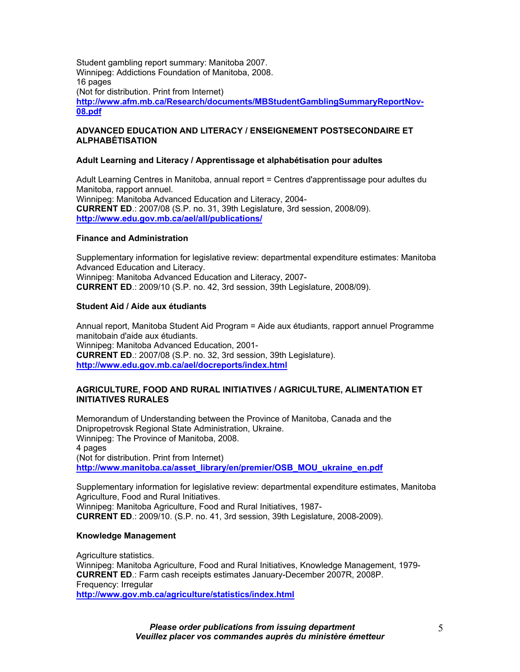Student gambling report summary: Manitoba 2007. Winnipeg: Addictions Foundation of Manitoba, 2008. 16 pages (Not for distribution. Print from Internet) **http://www.afm.mb.ca/Research/documents/MBStudentGamblingSummaryReportNov-08.pdf**

# **ADVANCED EDUCATION AND LITERACY / ENSEIGNEMENT POSTSECONDAIRE ET ALPHABÉTISATION**

#### **Adult Learning and Literacy / Apprentissage et alphabétisation pour adultes**

Adult Learning Centres in Manitoba, annual report = Centres d'apprentissage pour adultes du Manitoba, rapport annuel. Winnipeg: Manitoba Advanced Education and Literacy, 2004- **CURRENT ED**.: 2007/08 (S.P. no. 31, 39th Legislature, 3rd session, 2008/09). **http://www.edu.gov.mb.ca/ael/all/publications/**

#### **Finance and Administration**

Supplementary information for legislative review: departmental expenditure estimates: Manitoba Advanced Education and Literacy. Winnipeg: Manitoba Advanced Education and Literacy, 2007- **CURRENT ED**.: 2009/10 (S.P. no. 42, 3rd session, 39th Legislature, 2008/09).

#### **Student Aid / Aide aux étudiants**

Annual report, Manitoba Student Aid Program = Aide aux étudiants, rapport annuel Programme manitobain d'aide aux étudiants. Winnipeg: Manitoba Advanced Education, 2001- **CURRENT ED**.: 2007/08 (S.P. no. 32, 3rd session, 39th Legislature). **http://www.edu.gov.mb.ca/ael/docreports/index.html**

#### **AGRICULTURE, FOOD AND RURAL INITIATIVES / AGRICULTURE, ALIMENTATION ET INITIATIVES RURALES**

Memorandum of Understanding between the Province of Manitoba, Canada and the Dnipropetrovsk Regional State Administration, Ukraine. Winnipeg: The Province of Manitoba, 2008. 4 pages (Not for distribution. Print from Internet) **http://www.manitoba.ca/asset\_library/en/premier/OSB\_MOU\_ukraine\_en.pdf**

Supplementary information for legislative review: departmental expenditure estimates, Manitoba Agriculture, Food and Rural Initiatives. Winnipeg: Manitoba Agriculture, Food and Rural Initiatives, 1987- **CURRENT ED**.: 2009/10. (S.P. no. 41, 3rd session, 39th Legislature, 2008-2009).

#### **Knowledge Management**

Agriculture statistics. Winnipeg: Manitoba Agriculture, Food and Rural Initiatives, Knowledge Management, 1979- **CURRENT ED**.: Farm cash receipts estimates January-December 2007R, 2008P. Frequency: Irregular **http://www.gov.mb.ca/agriculture/statistics/index.html**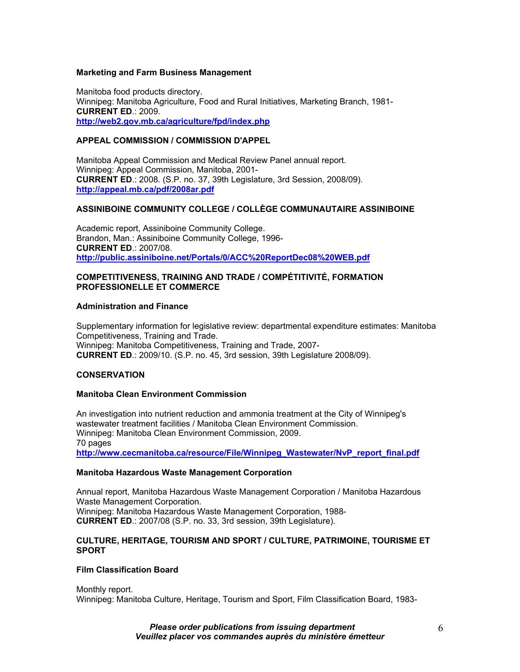## **Marketing and Farm Business Management**

Manitoba food products directory. Winnipeg: Manitoba Agriculture, Food and Rural Initiatives, Marketing Branch, 1981- **CURRENT ED**.: 2009. **http://web2.gov.mb.ca/agriculture/fpd/index.php**

# **APPEAL COMMISSION / COMMISSION D'APPEL**

Manitoba Appeal Commission and Medical Review Panel annual report. Winnipeg: Appeal Commission, Manitoba, 2001- **CURRENT ED**.: 2008. (S.P. no. 37, 39th Legislature, 3rd Session, 2008/09). **http://appeal.mb.ca/pdf/2008ar.pdf** 

## **ASSINIBOINE COMMUNITY COLLEGE / COLLÈGE COMMUNAUTAIRE ASSINIBOINE**

Academic report, Assiniboine Community College. Brandon, Man.: Assiniboine Community College, 1996- **CURRENT ED**.: 2007/08. **http://public.assiniboine.net/Portals/0/ACC%20ReportDec08%20WEB.pdf**

## **COMPETITIVENESS, TRAINING AND TRADE / COMPÉTITIVITÉ, FORMATION PROFESSIONELLE ET COMMERCE**

#### **Administration and Finance**

Supplementary information for legislative review: departmental expenditure estimates: Manitoba Competitiveness, Training and Trade. Winnipeg: Manitoba Competitiveness, Training and Trade, 2007- **CURRENT ED**.: 2009/10. (S.P. no. 45, 3rd session, 39th Legislature 2008/09).

## **CONSERVATION**

#### **Manitoba Clean Environment Commission**

An investigation into nutrient reduction and ammonia treatment at the City of Winnipeg's wastewater treatment facilities / Manitoba Clean Environment Commission. Winnipeg: Manitoba Clean Environment Commission, 2009. 70 pages **http://www.cecmanitoba.ca/resource/File/Winnipeg\_Wastewater/NvP\_report\_final.pdf**

#### **Manitoba Hazardous Waste Management Corporation**

Annual report, Manitoba Hazardous Waste Management Corporation / Manitoba Hazardous Waste Management Corporation. Winnipeg: Manitoba Hazardous Waste Management Corporation, 1988- **CURRENT ED**.: 2007/08 (S.P. no. 33, 3rd session, 39th Legislature).

#### **CULTURE, HERITAGE, TOURISM AND SPORT / CULTURE, PATRIMOINE, TOURISME ET SPORT**

## **Film Classification Board**

Monthly report. Winnipeg: Manitoba Culture, Heritage, Tourism and Sport, Film Classification Board, 1983-

> *Please order publications from issuing department Veuillez placer vos commandes auprès du ministère émetteur*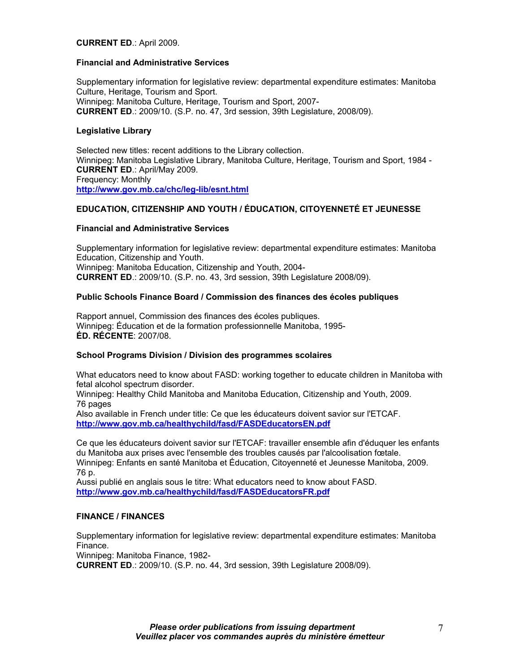## **CURRENT ED**.: April 2009.

## **Financial and Administrative Services**

Supplementary information for legislative review: departmental expenditure estimates: Manitoba Culture, Heritage, Tourism and Sport. Winnipeg: Manitoba Culture, Heritage, Tourism and Sport, 2007- **CURRENT ED**.: 2009/10. (S.P. no. 47, 3rd session, 39th Legislature, 2008/09).

# **Legislative Library**

Selected new titles: recent additions to the Library collection. Winnipeg: Manitoba Legislative Library, Manitoba Culture, Heritage, Tourism and Sport, 1984 - **CURRENT ED**.: April/May 2009. Frequency: Monthly **http://www.gov.mb.ca/chc/leg-lib/esnt.html**

# **EDUCATION, CITIZENSHIP AND YOUTH / ÉDUCATION, CITOYENNETÉ ET JEUNESSE**

# **Financial and Administrative Services**

Supplementary information for legislative review: departmental expenditure estimates: Manitoba Education, Citizenship and Youth. Winnipeg: Manitoba Education, Citizenship and Youth, 2004- **CURRENT ED**.: 2009/10. (S.P. no. 43, 3rd session, 39th Legislature 2008/09).

# **Public Schools Finance Board / Commission des finances des écoles publiques**

Rapport annuel, Commission des finances des écoles publiques. Winnipeg: Éducation et de la formation professionnelle Manitoba, 1995- **ÉD. RÉCENTE**: 2007/08.

## **School Programs Division / Division des programmes scolaires**

What educators need to know about FASD: working together to educate children in Manitoba with fetal alcohol spectrum disorder.

Winnipeg: Healthy Child Manitoba and Manitoba Education, Citizenship and Youth, 2009. 76 pages

Also available in French under title: Ce que les éducateurs doivent savior sur l'ETCAF. **http://www.gov.mb.ca/healthychild/fasd/FASDEducatorsEN.pdf**

Ce que les éducateurs doivent savior sur l'ETCAF: travailler ensemble afin d'éduquer les enfants du Manitoba aux prises avec l'ensemble des troubles causés par l'alcoolisation fœtale. Winnipeg: Enfants en santé Manitoba et Éducation, Citoyenneté et Jeunesse Manitoba, 2009. 76 p.

Aussi publié en anglais sous le titre: What educators need to know about FASD. **http://www.gov.mb.ca/healthychild/fasd/FASDEducatorsFR.pdf**

# **FINANCE / FINANCES**

Supplementary information for legislative review: departmental expenditure estimates: Manitoba Finance.

Winnipeg: Manitoba Finance, 1982-

**CURRENT ED**.: 2009/10. (S.P. no. 44, 3rd session, 39th Legislature 2008/09).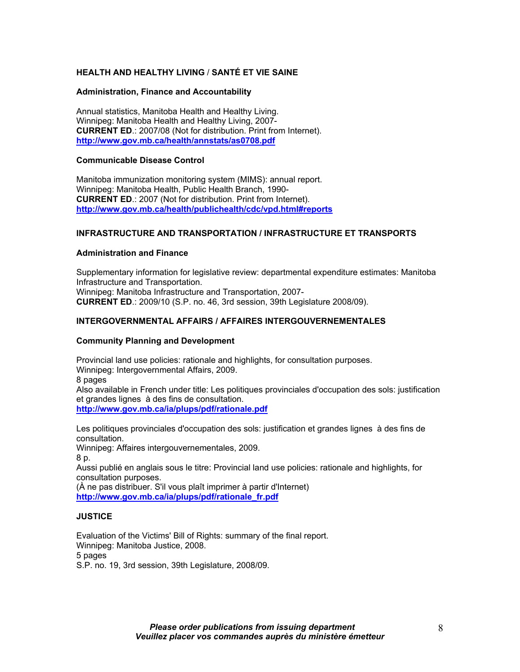# **HEALTH AND HEALTHY LIVING** / **SANTÉ ET VIE SAINE**

#### **Administration, Finance and Accountability**

Annual statistics, Manitoba Health and Healthy Living. Winnipeg: Manitoba Health and Healthy Living, 2007- **CURRENT ED**.: 2007/08 (Not for distribution. Print from Internet). **http://www.gov.mb.ca/health/annstats/as0708.pdf**

## **Communicable Disease Control**

Manitoba immunization monitoring system (MIMS): annual report. Winnipeg: Manitoba Health, Public Health Branch, 1990- **CURRENT ED**.: 2007 (Not for distribution. Print from Internet). **http://www.gov.mb.ca/health/publichealth/cdc/vpd.html#reports**

# **INFRASTRUCTURE AND TRANSPORTATION / INFRASTRUCTURE ET TRANSPORTS**

#### **Administration and Finance**

Supplementary information for legislative review: departmental expenditure estimates: Manitoba Infrastructure and Transportation. Winnipeg: Manitoba Infrastructure and Transportation, 2007- **CURRENT ED**.: 2009/10 (S.P. no. 46, 3rd session, 39th Legislature 2008/09).

# **INTERGOVERNMENTAL AFFAIRS / AFFAIRES INTERGOUVERNEMENTALES**

#### **Community Planning and Development**

Provincial land use policies: rationale and highlights, for consultation purposes. Winnipeg: Intergovernmental Affairs, 2009. 8 pages

Also available in French under title: Les politiques provinciales d'occupation des sols: justification et grandes lignes à des fins de consultation. **http://www.gov.mb.ca/ia/plups/pdf/rationale.pdf**

Les politiques provinciales d'occupation des sols: justification et grandes lignes à des fins de consultation.

Winnipeg: Affaires intergouvernementales, 2009.

8 p.

Aussi publié en anglais sous le titre: Provincial land use policies: rationale and highlights, for consultation purposes.

(À ne pas distribuer. S'il vous plaît imprimer à partir d'Internet) **http://www.gov.mb.ca/ia/plups/pdf/rationale\_fr.pdf**

## **JUSTICE**

Evaluation of the Victims' Bill of Rights: summary of the final report. Winnipeg: Manitoba Justice, 2008. 5 pages S.P. no. 19, 3rd session, 39th Legislature, 2008/09.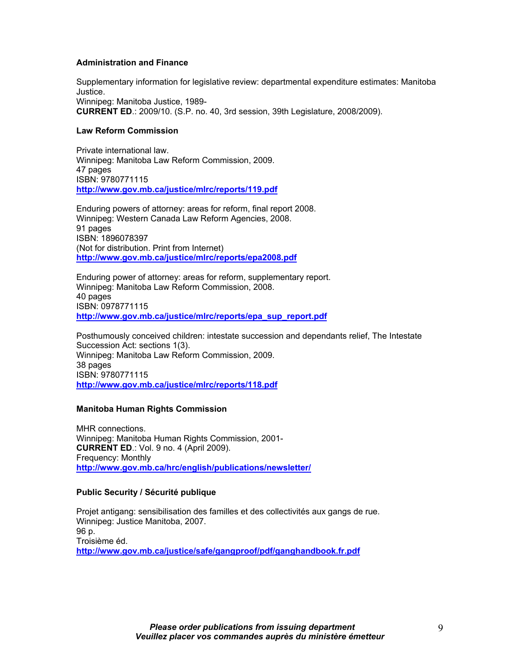## **Administration and Finance**

Supplementary information for legislative review: departmental expenditure estimates: Manitoba Justice. Winnipeg: Manitoba Justice, 1989- **CURRENT ED**.: 2009/10. (S.P. no. 40, 3rd session, 39th Legislature, 2008/2009).

# **Law Reform Commission**

Private international law. Winnipeg: Manitoba Law Reform Commission, 2009. 47 pages ISBN: 9780771115 **http://www.gov.mb.ca/justice/mlrc/reports/119.pdf**

Enduring powers of attorney: areas for reform, final report 2008. Winnipeg: Western Canada Law Reform Agencies, 2008. 91 pages ISBN: 1896078397 (Not for distribution. Print from Internet) **http://www.gov.mb.ca/justice/mlrc/reports/epa2008.pdf**

Enduring power of attorney: areas for reform, supplementary report. Winnipeg: Manitoba Law Reform Commission, 2008. 40 pages ISBN: 0978771115 **http://www.gov.mb.ca/justice/mlrc/reports/epa\_sup\_report.pdf** 

Posthumously conceived children: intestate succession and dependants relief, The Intestate Succession Act: sections 1(3). Winnipeg: Manitoba Law Reform Commission, 2009. 38 pages ISBN: 9780771115 **http://www.gov.mb.ca/justice/mlrc/reports/118.pdf**

## **Manitoba Human Rights Commission**

MHR connections. Winnipeg: Manitoba Human Rights Commission, 2001- **CURRENT ED**.: Vol. 9 no. 4 (April 2009). Frequency: Monthly **http://www.gov.mb.ca/hrc/english/publications/newsletter/** 

## **Public Security / Sécurité publique**

Projet antigang: sensibilisation des familles et des collectivités aux gangs de rue. Winnipeg: Justice Manitoba, 2007. 96 p. Troisième éd. **http://www.gov.mb.ca/justice/safe/gangproof/pdf/ganghandbook.fr.pdf**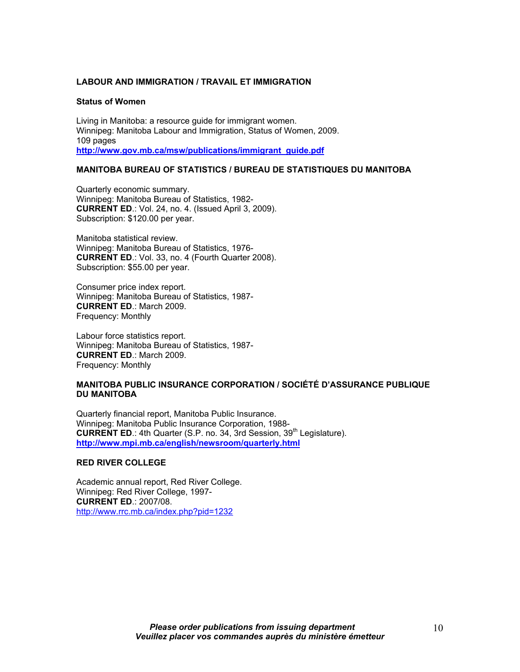## **LABOUR AND IMMIGRATION / TRAVAIL ET IMMIGRATION**

#### **Status of Women**

Living in Manitoba: a resource guide for immigrant women. Winnipeg: Manitoba Labour and Immigration, Status of Women, 2009. 109 pages **http://www.gov.mb.ca/msw/publications/immigrant\_guide.pdf**

# **MANITOBA BUREAU OF STATISTICS / BUREAU DE STATISTIQUES DU MANITOBA**

Quarterly economic summary. Winnipeg: Manitoba Bureau of Statistics, 1982- **CURRENT ED**.: Vol. 24, no. 4. (Issued April 3, 2009). Subscription: \$120.00 per year.

Manitoba statistical review. Winnipeg: Manitoba Bureau of Statistics, 1976- **CURRENT ED**.: Vol. 33, no. 4 (Fourth Quarter 2008). Subscription: \$55.00 per year.

Consumer price index report. Winnipeg: Manitoba Bureau of Statistics, 1987- **CURRENT ED**.: March 2009. Frequency: Monthly

Labour force statistics report. Winnipeg: Manitoba Bureau of Statistics, 1987- **CURRENT ED**.: March 2009. Frequency: Monthly

# **MANITOBA PUBLIC INSURANCE CORPORATION / SOCIÉTÉ D'ASSURANCE PUBLIQUE DU MANITOBA**

Quarterly financial report, Manitoba Public Insurance. Winnipeg: Manitoba Public Insurance Corporation, 1988- **CURRENT ED**.: 4th Quarter (S.P. no. 34, 3rd Session, 39<sup>th</sup> Legislature). **http://www.mpi.mb.ca/english/newsroom/quarterly.html**

#### **RED RIVER COLLEGE**

Academic annual report, Red River College. Winnipeg: Red River College, 1997- **CURRENT ED**.: 2007/08. http://www.rrc.mb.ca/index.php?pid=1232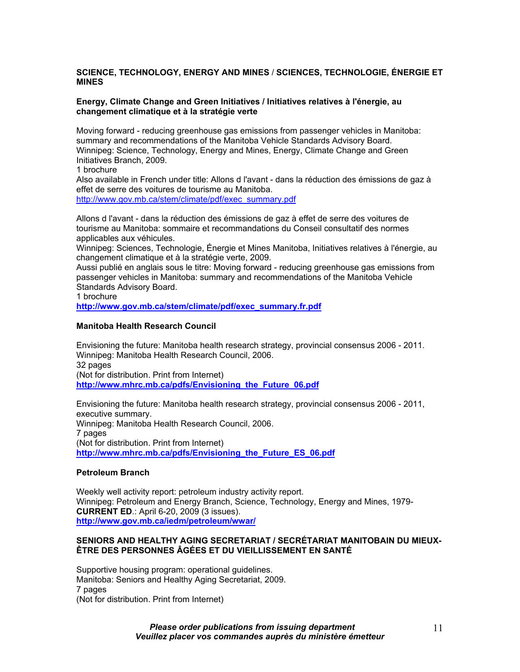# **SCIENCE, TECHNOLOGY, ENERGY AND MINES** / **SCIENCES, TECHNOLOGIE, ÉNERGIE ET MINES**

## **Energy, Climate Change and Green Initiatives / Initiatives relatives à l'énergie, au changement climatique et à la stratégie verte**

Moving forward - reducing greenhouse gas emissions from passenger vehicles in Manitoba: summary and recommendations of the Manitoba Vehicle Standards Advisory Board. Winnipeg: Science, Technology, Energy and Mines, Energy, Climate Change and Green Initiatives Branch, 2009.

1 brochure

Also available in French under title: Allons d l'avant - dans la réduction des émissions de gaz à effet de serre des voitures de tourisme au Manitoba. http://www.gov.mb.ca/stem/climate/pdf/exec\_summary.pdf

Allons d l'avant - dans la réduction des émissions de gaz à effet de serre des voitures de tourisme au Manitoba: sommaire et recommandations du Conseil consultatif des normes applicables aux véhicules.

Winnipeg: Sciences, Technologie, Énergie et Mines Manitoba, Initiatives relatives à l'énergie, au changement climatique et à la stratégie verte, 2009.

Aussi publié en anglais sous le titre: Moving forward - reducing greenhouse gas emissions from passenger vehicles in Manitoba: summary and recommendations of the Manitoba Vehicle Standards Advisory Board.

1 brochure

**http://www.gov.mb.ca/stem/climate/pdf/exec\_summary.fr.pdf**

## **Manitoba Health Research Council**

Envisioning the future: Manitoba health research strategy, provincial consensus 2006 - 2011. Winnipeg: Manitoba Health Research Council, 2006. 32 pages (Not for distribution. Print from Internet) **http://www.mhrc.mb.ca/pdfs/Envisioning\_the\_Future\_06.pdf**

Envisioning the future: Manitoba health research strategy, provincial consensus 2006 - 2011, executive summary. Winnipeg: Manitoba Health Research Council, 2006. 7 pages (Not for distribution. Print from Internet) **http://www.mhrc.mb.ca/pdfs/Envisioning\_the\_Future\_ES\_06.pdf**

## **Petroleum Branch**

Weekly well activity report: petroleum industry activity report. Winnipeg: Petroleum and Energy Branch, Science, Technology, Energy and Mines, 1979- **CURRENT ED**.: April 6-20, 2009 (3 issues). **http://www.gov.mb.ca/iedm/petroleum/wwar/**

## **SENIORS AND HEALTHY AGING SECRETARIAT / SECRÉTARIAT MANITOBAIN DU MIEUX-ÊTRE DES PERSONNES ÂGÉES ET DU VIEILLISSEMENT EN SANTÉ**

Supportive housing program: operational guidelines. Manitoba: Seniors and Healthy Aging Secretariat, 2009. 7 pages (Not for distribution. Print from Internet)

> *Please order publications from issuing department Veuillez placer vos commandes auprès du ministère émetteur*